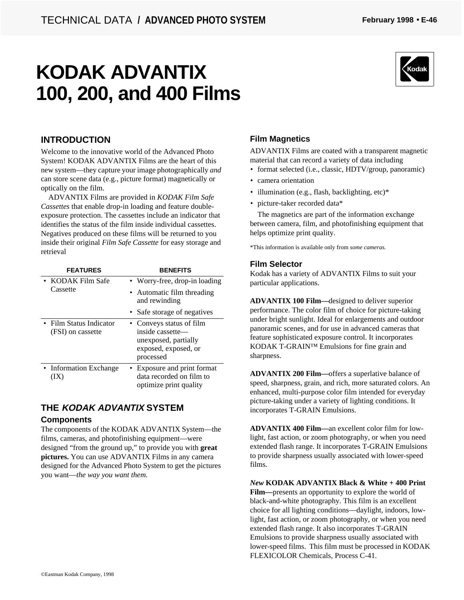# **KODAK ADVANTIX 100, 200, and 400 Films**



### **INTRODUCTION**

Welcome to the innovative world of the Advanced Photo System! KODAK ADVANTIX Films are the heart of this new system—they capture your image photographically *and* can store scene data (e.g., picture format) magnetically or optically on the film.

ADVANTIX Films are provided in *KODAK Film Safe Cassettes* that enable drop-in loading and feature doubleexposure protection. The cassettes include an indicator that identifies the status of the film inside individual cassettes. Negatives produced on these films will be returned to you inside their original *Film Safe Cassette* for easy storage and retrieval

| <b>FEATURES</b>                              | <b>BENEFITS</b>                                                                                           |
|----------------------------------------------|-----------------------------------------------------------------------------------------------------------|
| • KODAK Film Safe<br>Cassette                | • Worry-free, drop-in loading                                                                             |
|                                              | • Automatic film threading<br>and rewinding                                                               |
|                                              | • Safe storage of negatives                                                                               |
| • Film Status Indicator<br>(FSI) on cassette | • Conveys status of film<br>inside cassette—<br>unexposed, partially<br>exposed, exposed, or<br>processed |
| • Information Exchange<br>IX)                | • Exposure and print format<br>data recorded on film to<br>optimize print quality                         |

### **THE KODAK ADVANTIX SYSTEM**

### **Components**

The components of the KODAK ADVANTIX System—the films, cameras, and photofinishing equipment—were designed "from the ground up," to provide you with **great pictures.** You can use ADVANTIX Films in any camera designed for the Advanced Photo System to get the pictures you want—*the way you want them.*

### **Film Magnetics**

ADVANTIX Films are coated with a transparent magnetic material that can record a variety of data including

- format selected (i.e., classic, HDTV/group, panoramic)
- camera orientation
- illumination (e.g., flash, backlighting, etc)\*
- picture-taker recorded data\*

The magnetics are part of the information exchange between camera, film, and photofinishing equipment that helps optimize print quality.

\*This information is available only from *some cameras.*

### **Film Selector**

Kodak has a variety of ADVANTIX Films to suit your particular applications.

**ADVANTIX 100 Film—**designed to deliver superior performance. The color film of choice for picture-taking under bright sunlight. Ideal for enlargements and outdoor panoramic scenes, and for use in advanced cameras that feature sophisticated exposure control. It incorporates KODAK T-GRAIN™ Emulsions for fine grain and sharpness.

**ADVANTIX 200 Film—**offers a superlative balance of speed, sharpness, grain, and rich, more saturated colors. An enhanced, multi-purpose color film intended for everyday picture-taking under a variety of lighting conditions. It incorporates T-GRAIN Emulsions.

**ADVANTIX 400 Film—**an excellent color film for lowlight, fast action, or zoom photography, or when you need extended flash range. It incorporates T-GRAIN Emulsions to provide sharpness usually associated with lower-speed films.

*New* **KODAK ADVANTIX Black & White + 400 Print Film—**presents an opportunity to explore the world of black-and-white photography. This film is an excellent choice for all lighting conditions—daylight, indoors, lowlight, fast action, or zoom photography, or when you need extended flash range. It also incorporates T-GRAIN Emulsions to provide sharpness usually associated with lower-speed films. This film must be processed in KODAK FLEXICOLOR Chemicals, Process C-41.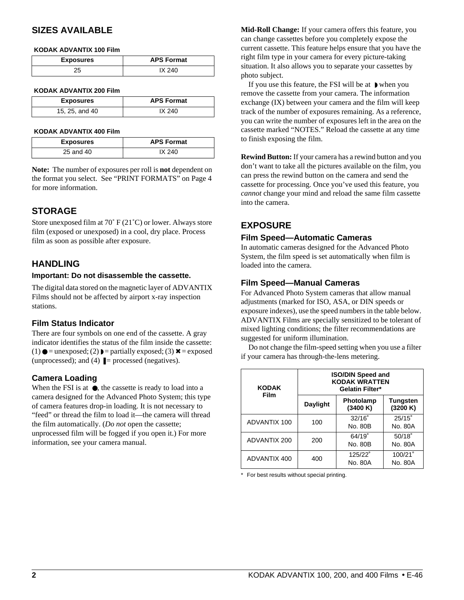### **SIZES AVAILABLE**

#### **KODAK ADVANTIX 100 Film**

| <b>Exposures</b> | <b>APS Format</b> |
|------------------|-------------------|
|                  |                   |

#### **KODAK ADVANTIX 200 Film**

| <b>Exposures</b> | <b>APS Format</b> |
|------------------|-------------------|
| 15, 25, and 40   | IX 240            |

#### **KODAK ADVANTIX 400 Film**

| <b>Exposures</b> | <b>APS Format</b> |  |
|------------------|-------------------|--|
| 25 and 40        | IX 240            |  |

**Note:** The number of exposures per roll is **not** dependent on the format you select. See "PRINT FORMATS" on Page 4 for more information.

### **STORAGE**

Store unexposed film at 70˚ F (21˚C) or lower. Always store film (exposed or unexposed) in a cool, dry place. Process film as soon as possible after exposure.

### **HANDLING**

#### **Important: Do not disassemble the cassette.**

The digital data stored on the magnetic layer of ADVANTIX Films should not be affected by airport x-ray inspection stations.

### **Film Status Indicator**

There are four symbols on one end of the cassette. A gray indicator identifies the status of the film inside the cassette: (1)  $\bullet$  = unexposed; (2)  $\bullet$  = partially exposed; (3)  $\times$  = exposed (unprocessed); and (4)  $\blacksquare$  = processed (negatives).

### **Camera Loading**

When the FSI is at  $\bullet$ , the cassette is ready to load into a camera designed for the Advanced Photo System; this type of camera features drop-in loading. It is not necessary to "feed" or thread the film to load it—the camera will thread the film automatically. (*Do not* open the cassette; unprocessed film will be fogged if you open it.) For more information, see your camera manual.

**Mid-Roll Change:** If your camera offers this feature, you can change cassettes before you completely expose the current cassette. This feature helps ensure that you have the right film type in your camera for every picture-taking situation. It also allows you to separate your cassettes by photo subject.

If you use this feature, the FSI will be at ◗ when you remove the cassette from your camera. The information exchange (IX) between your camera and the film will keep track of the number of exposures remaining. As a reference, you can write the number of exposures left in the area on the cassette marked "NOTES." Reload the cassette at any time to finish exposing the film.

**Rewind Button:** If your camera has a rewind button and you don't want to take all the pictures available on the film, you can press the rewind button on the camera and send the cassette for processing. Once you've used this feature, you *cannot* change your mind and reload the same film cassette into the camera.

### **EXPOSURE**

#### **Film Speed—Automatic Cameras**

In automatic cameras designed for the Advanced Photo System, the film speed is set automatically when film is loaded into the camera.

### **Film Speed—Manual Cameras**

For Advanced Photo System cameras that allow manual adjustments (marked for ISO, ASA, or DIN speeds or exposure indexes), use the speed numbers in the table below. ADVANTIX Films are specially sensitized to be tolerant of mixed lighting conditions; the filter recommendations are suggested for uniform illumination.

Do not change the film-speed setting when you use a filter if your camera has through-the-lens metering.

| <b>KODAK</b><br>Film | <b>ISO/DIN Speed and</b><br><b>KODAK WRATTEN</b><br>Gelatin Filter* |                            |                             |
|----------------------|---------------------------------------------------------------------|----------------------------|-----------------------------|
|                      | <b>Daylight</b>                                                     | Photolamp<br>(3400 K)      | <b>Tungsten</b><br>(3200 K) |
| ADVANTIX 100         | 100                                                                 | $32/16^{\circ}$<br>No. 80B | $25/15^\circ$<br>No. 80A    |
| ADVANTIX 200         | 200                                                                 | 64/19°<br>No. 80B          | 50/18°<br>No. 80A           |
| ADVANTIX 400         | 400                                                                 | 125/22°<br>No. 80A         | 100/21°<br>No. 80A          |

\* For best results without special printing.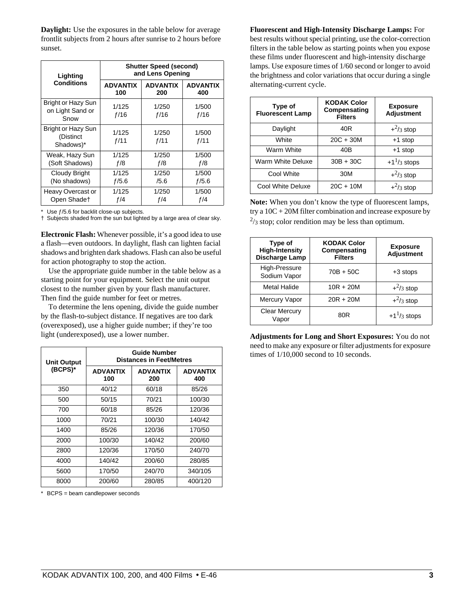**Daylight:** Use the exposures in the table below for average frontlit subjects from 2 hours after sunrise to 2 hours before sunset.

| Lighting                                              | <b>Shutter Speed (second)</b><br>and Lens Opening |                 |                 |
|-------------------------------------------------------|---------------------------------------------------|-----------------|-----------------|
| <b>Conditions</b>                                     | <b>ADVANTIX</b>                                   | <b>ADVANTIX</b> | <b>ADVANTIX</b> |
|                                                       | 100                                               | 200             | 400             |
| <b>Bright or Hazy Sun</b><br>on Light Sand or<br>Snow | 1/125<br>f/16                                     | 1/250<br>f/16   | 1/500<br>f/16   |
| <b>Bright or Hazy Sun</b><br>(Distinct<br>Shadows)*   | 1/125<br>f/11                                     | 1/250<br>f/11   | 1/500<br>f/11   |
| Weak, Hazy Sun                                        | 1/125                                             | 1/250           | 1/500           |
| (Soft Shadows)                                        | f/8                                               | f/8             | f/8             |
| Cloudy Bright                                         | 1/125                                             | 1/250           | 1/500           |
| (No shadows)                                          | f/5.6                                             | /5.6            | f/5.6           |
| Heavy Overcast or                                     | 1/125                                             | 1/250           | 1/500           |
| Open Shadet                                           | f/4                                               | f/4             | f/4             |

Use  $f/5.6$  for backlit close-up subjects.

† Subjects shaded from the sun but lighted by a large area of clear sky.

**Electronic Flash:** Whenever possible, it's a good idea to use a flash—even outdoors. In daylight, flash can lighten facial shadows and brighten dark shadows. Flash can also be useful for action photography to stop the action.

Use the appropriate guide number in the table below as a starting point for your equipment. Select the unit output closest to the number given by your flash manufacturer. Then find the guide number for feet or metres.

To determine the lens opening, divide the guide number by the flash-to-subject distance. If negatives are too dark (overexposed), use a higher guide number; if they're too light (underexposed), use a lower number.

| <b>Unit Output</b> | <b>Guide Number</b><br><b>Distances in Feet/Metres</b> |                        |                        |
|--------------------|--------------------------------------------------------|------------------------|------------------------|
| (BCPS)*            | <b>ADVANTIX</b><br>100                                 | <b>ADVANTIX</b><br>200 | <b>ADVANTIX</b><br>400 |
| 350                | 40/12                                                  | 60/18                  | 85/26                  |
| 500                | 50/15                                                  | 70/21                  | 100/30                 |
| 700                | 60/18                                                  | 85/26                  | 120/36                 |
| 1000               | 70/21                                                  | 100/30                 | 140/42                 |
| 1400               | 85/26                                                  | 120/36                 | 170/50                 |
| 2000               | 100/30                                                 | 140/42                 | 200/60                 |
| 2800               | 120/36                                                 | 170/50                 | 240/70                 |
| 4000               | 140/42                                                 | 200/60                 | 280/85                 |
| 5600               | 170/50                                                 | 240/70                 | 340/105                |
| 8000               | 200/60                                                 | 280/85                 | 400/120                |

BCPS = beam candlepower seconds

**Fluorescent and High-Intensity Discharge Lamps:** For best results without special printing, use the color-correction filters in the table below as starting points when you expose these films under fluorescent and high-intensity discharge lamps. Use exposure times of 1/60 second or longer to avoid the brightness and color variations that occur during a single alternating-current cycle.

| Type of<br><b>Fluorescent Lamp</b> | <b>KODAK Color</b><br>Compensating<br><b>Filters</b> | <b>Exposure</b><br><b>Adjustment</b> |
|------------------------------------|------------------------------------------------------|--------------------------------------|
| Daylight                           | 40 <sub>R</sub>                                      | $+^2/3$ stop                         |
| White                              | $20C + 30M$                                          | $+1$ stop                            |
| Warm White                         | 40B                                                  | +1 stop                              |
| Warm White Deluxe                  | $30B + 30C$                                          | $+1^{1/3}$ stops                     |
| Cool White                         | 30M                                                  | $+^2/3$ stop                         |
| Cool White Deluxe                  | $20C + 10M$                                          | $+^2/3$ stop                         |

**Note:** When you don't know the type of fluorescent lamps, try a 10C + 20M filter combination and increase exposure by  $\frac{2}{3}$  stop; color rendition may be less than optimum.

| Type of<br><b>High-Intensity</b><br>Discharge Lamp | <b>KODAK Color</b><br>Compensating<br><b>Filters</b> | <b>Exposure</b><br><b>Adjustment</b> |
|----------------------------------------------------|------------------------------------------------------|--------------------------------------|
| High-Pressure<br>Sodium Vapor                      | 70B + 50C                                            | +3 stops                             |
| <b>Metal Halide</b>                                | $10R + 20M$                                          | $+^2/3$ stop                         |
| Mercury Vapor                                      | $20R + 20M$                                          | $+^2/3$ stop                         |
| <b>Clear Mercury</b><br>Vapor                      | 80R                                                  | $+1^{1/3}$ stops                     |

**Adjustments for Long and Short Exposures:** You do not need to make any exposure or filter adjustments for exposure times of 1/10,000 second to 10 seconds.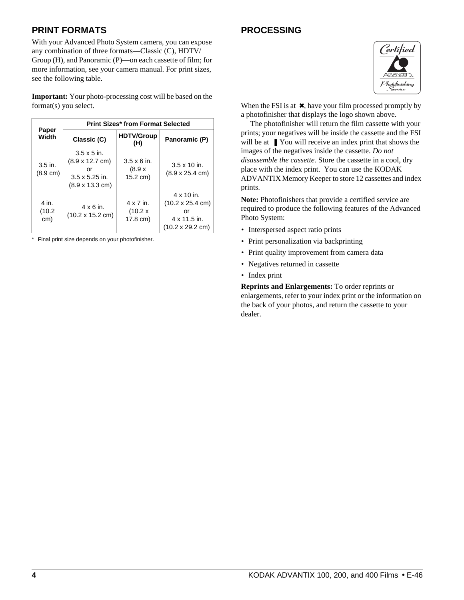## **PRINT FORMATS**

With your Advanced Photo System camera, you can expose any combination of three formats—Classic (C), HDTV/ Group (H), and Panoramic (P)—on each cassette of film; for more information, see your camera manual. For print sizes, see the following table.

**Important:** Your photo-processing cost will be based on the format(s) you select.

|                                 |                                                                                                                       | <b>Print Sizes* from Format Selected</b> |                                                                                                               |
|---------------------------------|-----------------------------------------------------------------------------------------------------------------------|------------------------------------------|---------------------------------------------------------------------------------------------------------------|
| Paper<br>Width                  | Classic (C)                                                                                                           | <b>HDTV/Group</b><br>(H)                 | Panoramic (P)                                                                                                 |
| $3.5$ in.<br>$(8.9 \text{ cm})$ | $3.5 \times 5$ in.<br>$(8.9 \times 12.7 \text{ cm})$<br>or<br>$3.5 \times 5.25$ in.<br>$(8.9 \times 13.3 \text{ cm})$ | $3.5 \times 6$ in.<br>(8.9 x<br>15.2 cm) | $3.5 \times 10$ in.<br>$(8.9 \times 25.4 \text{ cm})$                                                         |
| 4 in.<br>(10.2)<br>cm)          | $4 \times 6$ in.<br>$(10.2 \times 15.2 \text{ cm})$                                                                   | 4 x 7 in.<br>(10.2 x)<br>17.8 cm)        | $4 \times 10$ in.<br>$(10.2 \times 25.4 \text{ cm})$<br>or<br>4 x 11.5 in.<br>$(10.2 \times 29.2 \text{ cm})$ |

\* Final print size depends on your photofinisher.

## **PROCESSING**



When the FSI is at  $\chi$ , have your film processed promptly by a photofinisher that displays the logo shown above.

 The photofinisher will return the film cassette with your prints; your negatives will be inside the cassette and the FSI will be at  $\blacksquare$ . You will receive an index print that shows the images of the negatives inside the cassette. *Do not disassemble the cassette.* Store the cassette in a cool, dry place with the index print. You can use the KODAK ADVANTIX Memory Keeper to store 12 cassettes and index prints.

**Note:** Photofinishers that provide a certified service are required to produce the following features of the Advanced Photo System:

- Interspersed aspect ratio prints
- Print personalization via backprinting
- Print quality improvement from camera data
- Negatives returned in cassette
- Index print

**Reprints and Enlargements:** To order reprints or enlargements, refer to your index print or the information on the back of your photos, and return the cassette to your dealer.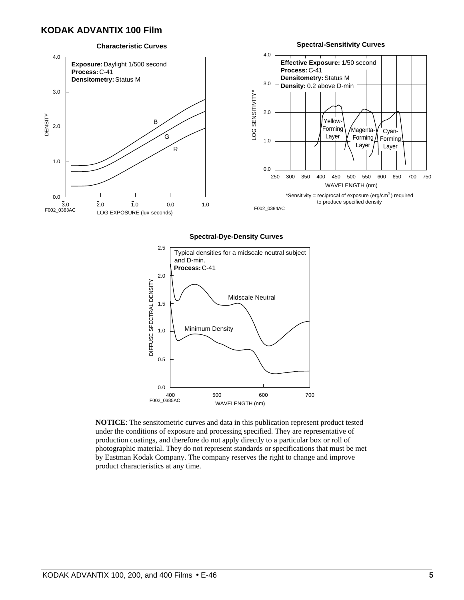### **KODAK ADVANTIX 100 Film**

#### **Spectral-Sensitivity Curves Characteristic Curves** 4.0 4.0 **Effective Exposure:** 1/50 second **Exposure: Daylight 1/500 second Process:** C-41 **Process:** C-41 **Densitometry:** Status M **Densitometry: Status M** 3.0 **Density:** 0.2 above D-min 3.0 \* LOG SENSITIVITY 2.0 **DENSITY** DENSITY **Yellow-**B 2.0 Forming Magenta-Cyan-G Layer  $\sqrt{}$  Forming Forming 1.0 Layer Layer R 1.0  $0.0$ 250 300 350 400 450 500 600 650 700 750 550 WAVELENGTH (nm) 0.0 \*Sensitivity = reciprocal of exposure (erg/cm<sup>2</sup>) required to produce specified density  $\overline{2}.0$ 3.0 1.0 0.0 1.0 F002\_0384AC F002\_0383AC LOG EXPOSURE (lux-seconds)

#### **Spectral-Dye-Density Curves**



**NOTICE**: The sensitometric curves and data in this publication represent product tested under the conditions of exposure and processing specified. They are representative of production coatings, and therefore do not apply directly to a particular box or roll of photographic material. They do not represent standards or specifications that must be met by Eastman Kodak Company. The company reserves the right to change and improve product characteristics at any time.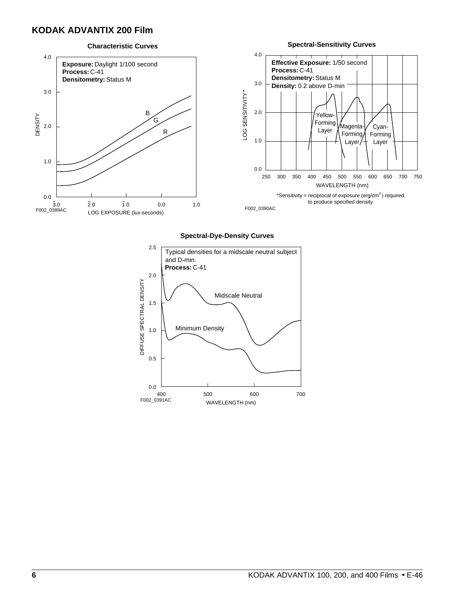### **KODAK ADVANTIX 200 Film**



#### **Spectral-Dye-Density Curves**

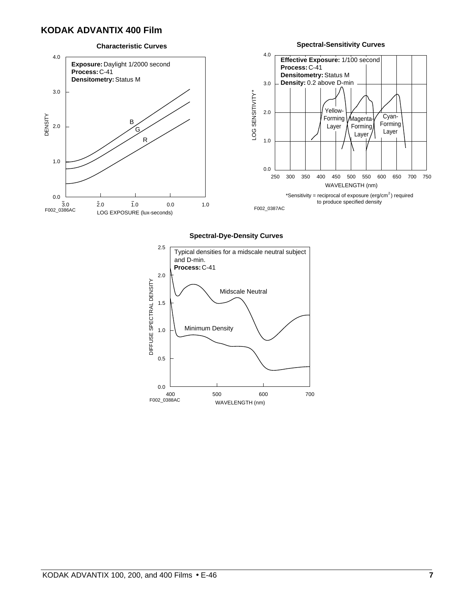### **KODAK ADVANTIX 400 Film**

#### **Characteristic Curves**





#### **Spectral-Dye-Density Curves**